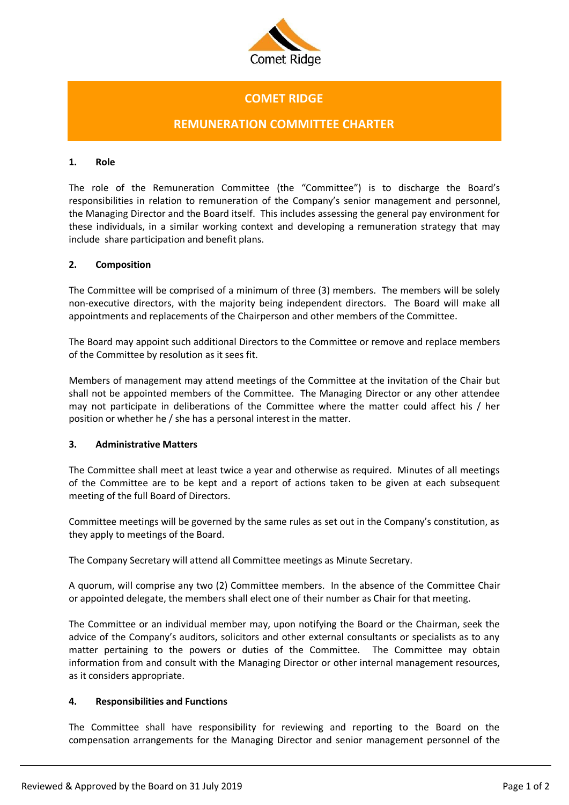

# **COMET RIDGE**

# **REMUNERATION COMMITTEE CHARTER**

#### **1. Role**

The role of the Remuneration Committee (the "Committee") is to discharge the Board's responsibilities in relation to remuneration of the Company's senior management and personnel, the Managing Director and the Board itself. This includes assessing the general pay environment for these individuals, in a similar working context and developing a remuneration strategy that may include share participation and benefit plans.

## **2. Composition**

The Committee will be comprised of a minimum of three (3) members. The members will be solely non-executive directors, with the majority being independent directors. The Board will make all appointments and replacements of the Chairperson and other members of the Committee.

The Board may appoint such additional Directors to the Committee or remove and replace members of the Committee by resolution as it sees fit.

Members of management may attend meetings of the Committee at the invitation of the Chair but shall not be appointed members of the Committee. The Managing Director or any other attendee may not participate in deliberations of the Committee where the matter could affect his / her position or whether he / she has a personal interest in the matter.

#### **3. Administrative Matters**

The Committee shall meet at least twice a year and otherwise as required. Minutes of all meetings of the Committee are to be kept and a report of actions taken to be given at each subsequent meeting of the full Board of Directors.

Committee meetings will be governed by the same rules as set out in the Company's constitution, as they apply to meetings of the Board.

The Company Secretary will attend all Committee meetings as Minute Secretary.

A quorum, will comprise any two (2) Committee members. In the absence of the Committee Chair or appointed delegate, the members shall elect one of their number as Chair for that meeting.

The Committee or an individual member may, upon notifying the Board or the Chairman, seek the advice of the Company's auditors, solicitors and other external consultants or specialists as to any matter pertaining to the powers or duties of the Committee. The Committee may obtain information from and consult with the Managing Director or other internal management resources, as it considers appropriate.

#### **4. Responsibilities and Functions**

The Committee shall have responsibility for reviewing and reporting to the Board on the compensation arrangements for the Managing Director and senior management personnel of the